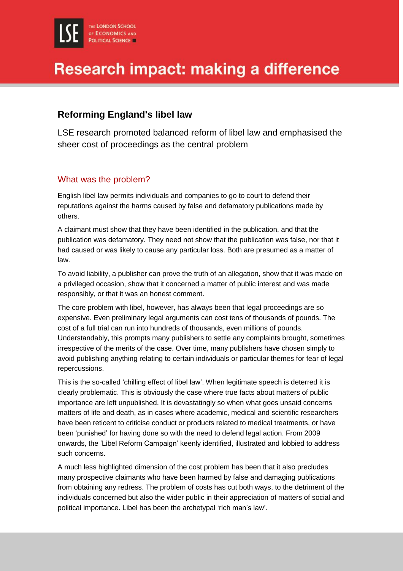### **Reforming England's libel law**

LSE research promoted balanced reform of libel law and emphasised the sheer cost of proceedings as the central problem

### What was the problem?

English libel law permits individuals and companies to go to court to defend their reputations against the harms caused by false and defamatory publications made by others.

A claimant must show that they have been identified in the publication, and that the publication was defamatory. They need not show that the publication was false, nor that it had caused or was likely to cause any particular loss. Both are presumed as a matter of law.

To avoid liability, a publisher can prove the truth of an allegation, show that it was made on a privileged occasion, show that it concerned a matter of public interest and was made responsibly, or that it was an honest comment.

The core problem with libel, however, has always been that legal proceedings are so expensive. Even preliminary legal arguments can cost tens of thousands of pounds. The cost of a full trial can run into hundreds of thousands, even millions of pounds. Understandably, this prompts many publishers to settle any complaints brought, sometimes irrespective of the merits of the case. Over time, many publishers have chosen simply to avoid publishing anything relating to certain individuals or particular themes for fear of legal repercussions.

This is the so-called 'chilling effect of libel law'. When legitimate speech is deterred it is clearly problematic. This is obviously the case where true facts about matters of public importance are left unpublished. It is devastatingly so when what goes unsaid concerns matters of life and death, as in cases where academic, medical and scientific researchers have been reticent to criticise conduct or products related to medical treatments, or have been 'punished' for having done so with the need to defend legal action. From 2009 onwards, the 'Libel Reform Campaign' keenly identified, illustrated and lobbied to address such concerns.

A much less highlighted dimension of the cost problem has been that it also precludes many prospective claimants who have been harmed by false and damaging publications from obtaining any redress. The problem of costs has cut both ways, to the detriment of the individuals concerned but also the wider public in their appreciation of matters of social and political importance. Libel has been the archetypal 'rich man's law'.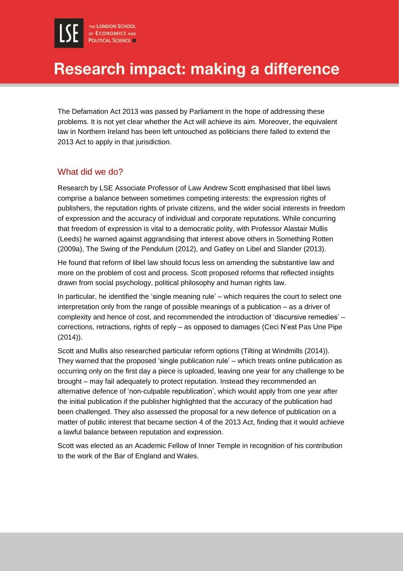The Defamation Act 2013 was passed by Parliament in the hope of addressing these problems. It is not yet clear whether the Act will achieve its aim. Moreover, the equivalent law in Northern Ireland has been left untouched as politicians there failed to extend the 2013 Act to apply in that jurisdiction.

#### What did we do?

Research by LSE Associate Professor of Law Andrew Scott emphasised that libel laws comprise a balance between sometimes competing interests: the expression rights of publishers, the reputation rights of private citizens, and the wider social interests in freedom of expression and the accuracy of individual and corporate reputations. While concurring that freedom of expression is vital to a democratic polity, with Professor Alastair Mullis (Leeds) he warned against aggrandising that interest above others in Something Rotten (2009a), The Swing of the Pendulum (2012), and Gatley on Libel and Slander (2013).

He found that reform of libel law should focus less on amending the substantive law and more on the problem of cost and process. Scott proposed reforms that reflected insights drawn from social psychology, political philosophy and human rights law.

In particular, he identified the 'single meaning rule' – which requires the court to select one interpretation only from the range of possible meanings of a publication – as a driver of complexity and hence of cost, and recommended the introduction of 'discursive remedies' – corrections, retractions, rights of reply – as opposed to damages (Ceci N'est Pas Une Pipe (2014)).

Scott and Mullis also researched particular reform options (Tilting at Windmills (2014)). They warned that the proposed 'single publication rule' – which treats online publication as occurring only on the first day a piece is uploaded, leaving one year for any challenge to be brought – may fail adequately to protect reputation. Instead they recommended an alternative defence of 'non-culpable republication', which would apply from one year after the initial publication if the publisher highlighted that the accuracy of the publication had been challenged. They also assessed the proposal for a new defence of publication on a matter of public interest that became section 4 of the 2013 Act, finding that it would achieve a lawful balance between reputation and expression.

Scott was elected as an Academic Fellow of Inner Temple in recognition of his contribution to the work of the Bar of England and Wales.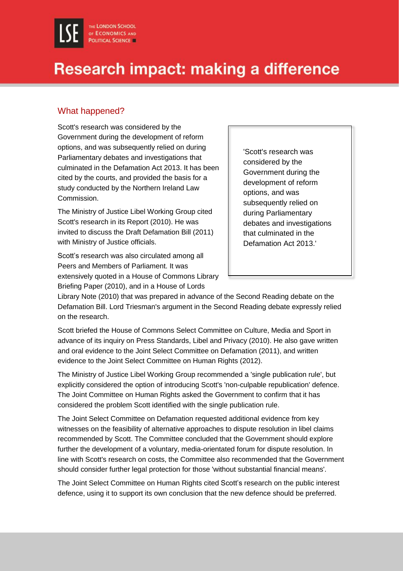#### What happened?

Scott's research was considered by the Government during the development of reform options, and was subsequently relied on during Parliamentary debates and investigations that culminated in the Defamation Act 2013. It has been cited by the courts, and provided the basis for a study conducted by the Northern Ireland Law Commission.

The Ministry of Justice Libel Working Group cited Scott's research in its Report (2010). He was invited to discuss the Draft Defamation Bill (2011) with Ministry of Justice officials.

Scott's research was also circulated among all Peers and Members of Parliament. It was extensively quoted in a House of Commons Library Briefing Paper (2010), and in a House of Lords

'Scott's research was considered by the Government during the development of reform options, and was subsequently relied on during Parliamentary debates and investigations that culminated in the Defamation Act 2013.'

Library Note (2010) that was prepared in advance of the Second Reading debate on the Defamation Bill. Lord Triesman's argument in the Second Reading debate expressly relied on the research.

Scott briefed the House of Commons Select Committee on Culture, Media and Sport in advance of its inquiry on Press Standards, Libel and Privacy (2010). He also gave written and oral evidence to the Joint Select Committee on Defamation (2011), and written evidence to the Joint Select Committee on Human Rights (2012).

The Ministry of Justice Libel Working Group recommended a 'single publication rule', but explicitly considered the option of introducing Scott's 'non-culpable republication' defence. The Joint Committee on Human Rights asked the Government to confirm that it has considered the problem Scott identified with the single publication rule.

The Joint Select Committee on Defamation requested additional evidence from key witnesses on the feasibility of alternative approaches to dispute resolution in libel claims recommended by Scott. The Committee concluded that the Government should explore further the development of a voluntary, media-orientated forum for dispute resolution. In line with Scott's research on costs, the Committee also recommended that the Government should consider further legal protection for those 'without substantial financial means'.

The Joint Select Committee on Human Rights cited Scott's research on the public interest defence, using it to support its own conclusion that the new defence should be preferred.